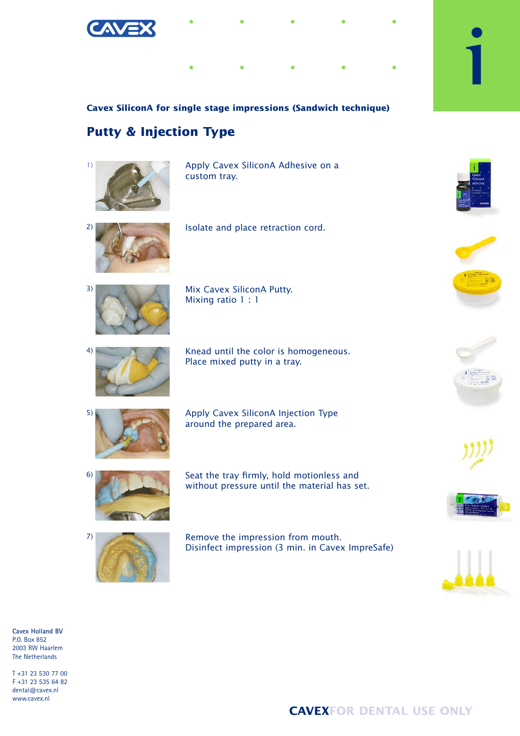

## **Cavex SiliconA for single stage impressions (Sandwich technique)**

## **Putty & Injection Type**



Apply Cavex SiliconA Adhesive on a custom tray.



Isolate and place retraction cord.



Mix Cavex SiliconA Putty. Mixing ratio 1 : 1



Knead until the color is homogeneous. Place mixed putty in a tray.



Apply Cavex SiliconA Injection Type around the prepared area.



Seat the tray firmly, hold motionless and without pressure until the material has set.



Remove the impression from mouth. Disinfect impression (3 min. in Cavex ImpreSafe)



**i**











**Cavex Holland BV** P.O. Box 852 2003 RW Haarlem The Netherlands

T +31 23 530 77 00 F +31 23 535 64 82 dental@cavex.nl www.cavex.nl